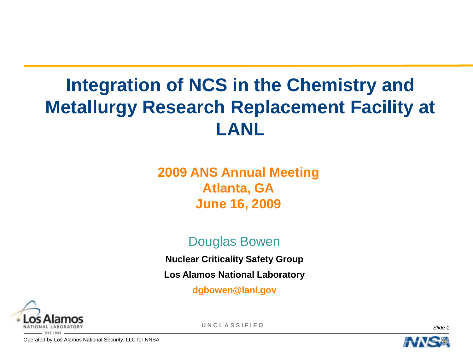### **Integration of NCS in the Chemistry and Metallurgy Research Replacement Facility at LANL**

### **2009 ANS Annual Meeting Atlanta, GA June 16, 2009**

#### Douglas Bowen

**Nuclear Criticality Safety Group**

**Los Alamos National Laboratory**

**dgbowen@lanl.gov**



**U N C L A S S I F I E D** *Slide 1*

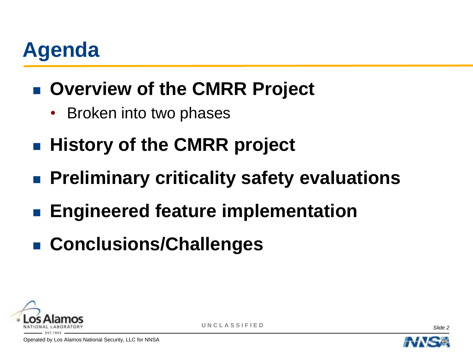# **Agenda**

- **E** Overview of the CMRR Project
	- Broken into two phases
- **History of the CMRR project**
- **Preliminary criticality safety evaluations**
- **Engineered feature implementation**
- **Conclusions/Challenges**





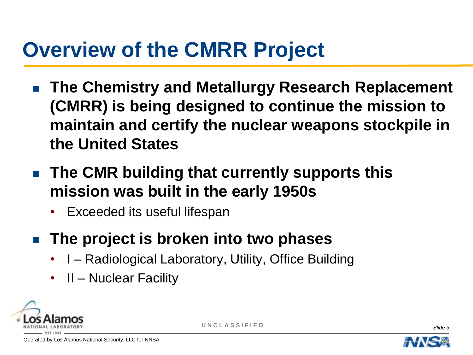### **Overview of the CMRR Project**

- **The Chemistry and Metallurgy Research Replacement (CMRR) is being designed to continue the mission to maintain and certify the nuclear weapons stockpile in the United States**
- **The CMR building that currently supports this mission was built in the early 1950s**
	- Exceeded its useful lifespan
- **The project is broken into two phases**
	- I Radiological Laboratory, Utility, Office Building
	- II Nuclear Facility





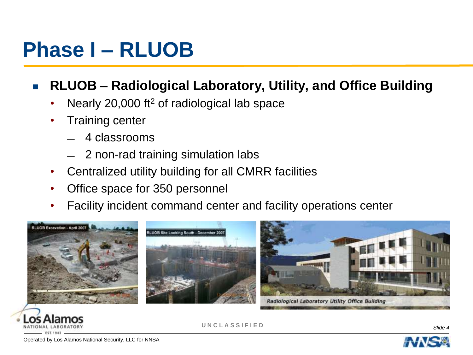### **Phase I – RLUOB**

### **RLUOB – Radiological Laboratory, Utility, and Office Building**

- Nearly 20,000 ft<sup>2</sup> of radiological lab space
- **Training center** 
	- 4 classrooms
	- 2 non-rad training simulation labs
- Centralized utility building for all CMRR facilities
- Office space for 350 personnel
- Facility incident command center and facility operations center





**U N C L A S S I F I E D** *Slide 4*

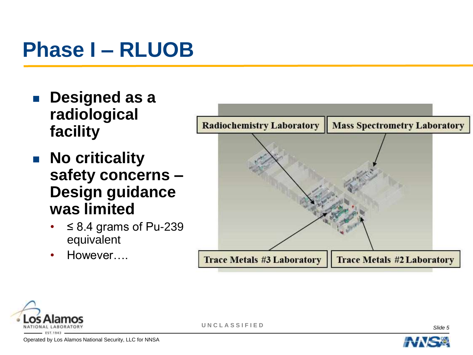### **Phase I – RLUOB**

- **Designed as a radiological facility**
- **No criticality safety concerns – Design guidance was limited**
	- $≤ 8.4$  grams of Pu-239 equivalent
	- However….







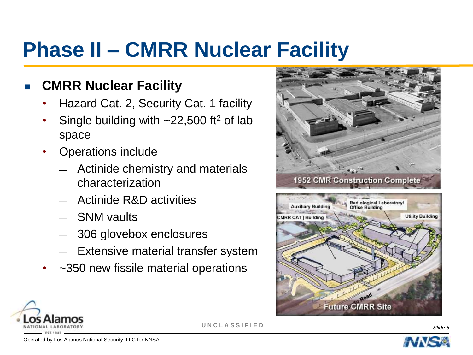### **Phase II – CMRR Nuclear Facility**

#### **CMRR Nuclear Facility**

- Hazard Cat. 2, Security Cat. 1 facility
- Single building with  $\sim$ 22,500 ft<sup>2</sup> of lab space
- Operations include
	- Actinide chemistry and materials characterization
	- Actinide R&D activities
	- SNM vaults
	- 306 glovebox enclosures
	- Extensive material transfer system
- ~350 new fissile material operations



**Future CMRR Site** 



**U N C L A S S I F I E D** *Slide 6*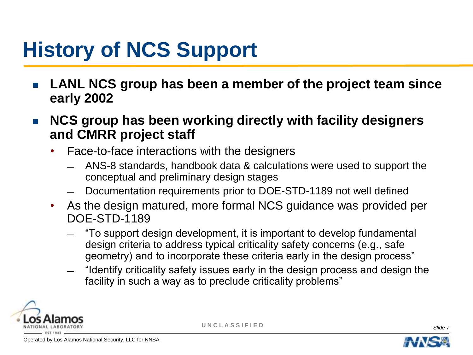# **History of NCS Support**

- **LANL NCS group has been a member of the project team since early 2002**
- **NCS group has been working directly with facility designers and CMRR project staff**
	- Face-to-face interactions with the designers
		- ANS-8 standards, handbook data & calculations were used to support the conceptual and preliminary design stages
		- Documentation requirements prior to DOE-STD-1189 not well defined
	- As the design matured, more formal NCS guidance was provided per DOE-STD-1189
		- $-$  "To support design development, it is important to develop fundamental design criteria to address typical criticality safety concerns (e.g., safe geometry) and to incorporate these criteria early in the design process"
		- "Identify criticality safety issues early in the design process and design the facility in such a way as to preclude criticality problems"





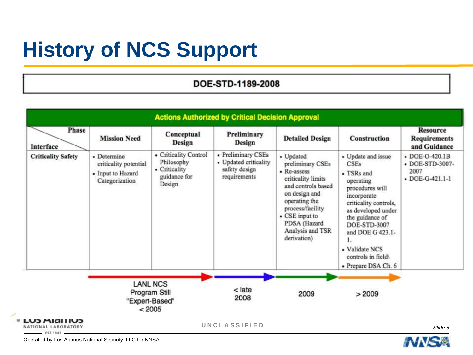# **History of NCS Support**

#### DOE-STD-1189-2008

| Phase<br>Interface                                       | <b>Mission Need</b>                                                         | Conceptual<br><b>Design</b>                                                    | Preliminary<br><b>Design</b>                                                 | <b>Detailed Design</b>                                                                                                                                                                                              | Construction                                                                                                                                                                                                                                                                    | <b>Resource</b><br><b>Requirements</b><br>and Guidance               |
|----------------------------------------------------------|-----------------------------------------------------------------------------|--------------------------------------------------------------------------------|------------------------------------------------------------------------------|---------------------------------------------------------------------------------------------------------------------------------------------------------------------------------------------------------------------|---------------------------------------------------------------------------------------------------------------------------------------------------------------------------------------------------------------------------------------------------------------------------------|----------------------------------------------------------------------|
| <b>Criticality Safety</b>                                | • Determine<br>criticality potential<br>• Input to Hazard<br>Categorization | • Criticality Control<br>Philosophy<br>• Criticality<br>guidance for<br>Design | • Preliminary CSEs<br>• Updated criticality<br>safety design<br>requirements | • Updated<br>preliminary CSEs<br>• Re-assess<br>criticality limits<br>and controls based<br>on design and<br>operating the<br>process/facility<br>• CSE input to<br>PDSA (Hazard<br>Analysis and TSR<br>derivation) | • Update and issue<br><b>CSEs</b><br>• TSRs and<br>operating<br>procedures will<br>incorporate<br>criticality controls,<br>as developed under<br>the guidance of<br><b>DOE-STD-3007</b><br>and DOE G 423.1-<br>1.<br>• Validate NCS<br>controls in field<br>• Prepare DSA Ch. 6 | $-$ DOE-O-420.1B<br>• DOE-STD-3007-<br>2007<br>$\cdot$ DOE-G-421.1-1 |
|                                                          |                                                                             |                                                                                |                                                                              |                                                                                                                                                                                                                     |                                                                                                                                                                                                                                                                                 |                                                                      |
|                                                          | <b>LANL NCS</b><br>Program Still<br>"Expert-Based"<br>< 2005                |                                                                                | $late$<br>2008                                                               | 2009                                                                                                                                                                                                                | >2009                                                                                                                                                                                                                                                                           |                                                                      |
| LU3 MIAITIUS<br>NATIONAL LABORATORY<br><b>CONTRACTOR</b> |                                                                             |                                                                                | UNCLASSIFIED                                                                 |                                                                                                                                                                                                                     |                                                                                                                                                                                                                                                                                 | Slide 8                                                              |

Operated by Los Alamos National Security, LLC for NNSA

 $\overline{1}$ 

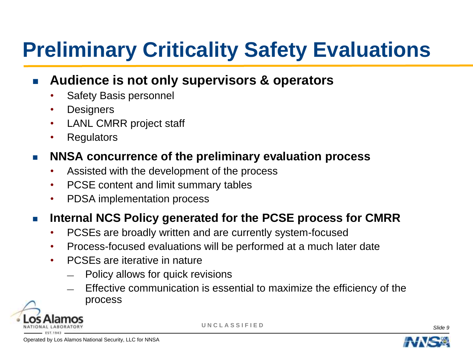# **Preliminary Criticality Safety Evaluations**

#### **Audience is not only supervisors & operators**

- Safety Basis personnel
- Designers
- LANL CMRR project staff
- Regulators

#### **NNSA concurrence of the preliminary evaluation process**

- Assisted with the development of the process
- PCSE content and limit summary tables
- PDSA implementation process

#### **Internal NCS Policy generated for the PCSE process for CMRR**

- PCSEs are broadly written and are currently system-focused
- Process-focused evaluations will be performed at a much later date
- PCSEs are iterative in nature
	- Policy allows for quick revisions
	- Effective communication is essential to maximize the efficiency of the process





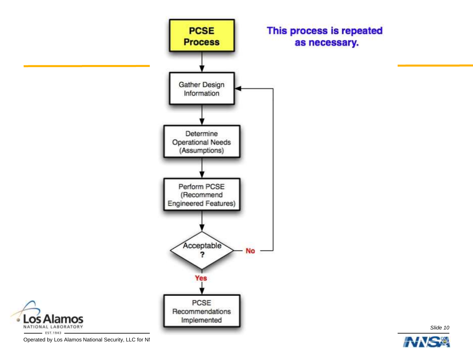



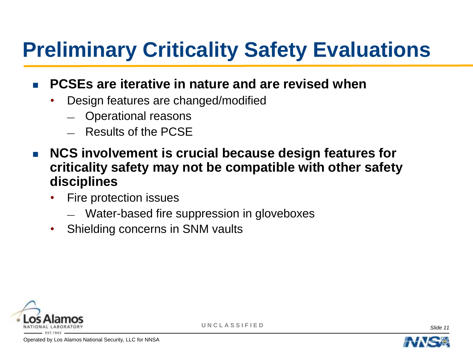# **Preliminary Criticality Safety Evaluations**

#### **PCSEs are iterative in nature and are revised when**

- Design features are changed/modified
	- Operational reasons
	- Results of the PCSE
- **NCS involvement is crucial because design features for criticality safety may not be compatible with other safety disciplines**
	- Fire protection issues
		- Water-based fire suppression in gloveboxes
	- Shielding concerns in SNM vaults





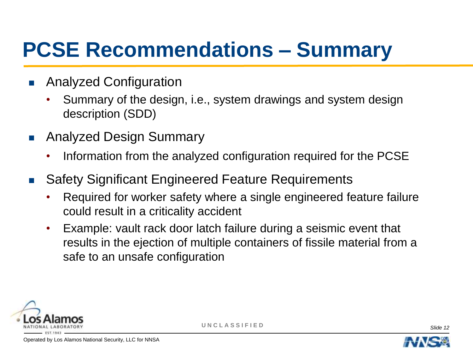### **PCSE Recommendations – Summary**

- **Analyzed Configuration** 
	- Summary of the design, i.e., system drawings and system design description (SDD)
- **Analyzed Design Summary** 
	- Information from the analyzed configuration required for the PCSE
- Safety Significant Engineered Feature Requirements
	- Required for worker safety where a single engineered feature failure could result in a criticality accident
	- Example: vault rack door latch failure during a seismic event that results in the ejection of multiple containers of fissile material from a safe to an unsafe configuration





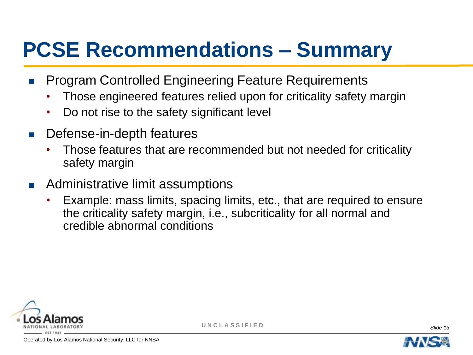### **PCSE Recommendations – Summary**

- **Program Controlled Engineering Feature Requirements** 
	- Those engineered features relied upon for criticality safety margin
	- Do not rise to the safety significant level
- **Defense-in-depth features** 
	- Those features that are recommended but not needed for criticality safety margin
- **Administrative limit assumptions** 
	- Example: mass limits, spacing limits, etc., that are required to ensure the criticality safety margin, i.e., subcriticality for all normal and credible abnormal conditions





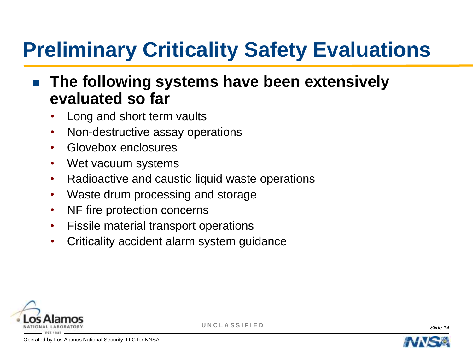# **Preliminary Criticality Safety Evaluations**

### **The following systems have been extensively evaluated so far**

- Long and short term vaults
- Non-destructive assay operations
- Glovebox enclosures
- Wet vacuum systems
- Radioactive and caustic liquid waste operations
- Waste drum processing and storage
- NF fire protection concerns
- Fissile material transport operations
- Criticality accident alarm system guidance





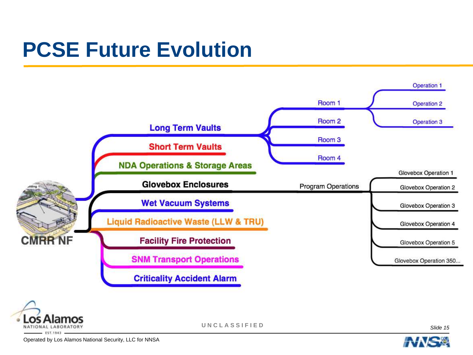### **PCSE Future Evolution**





**U N C L A S S I F I E D** *Slide 15*

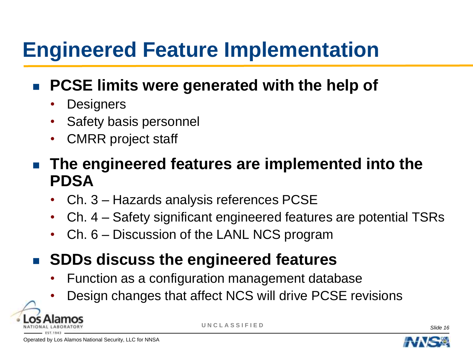### **Engineered Feature Implementation**

### **PCSE limits were generated with the help of**

- **Designers**
- Safety basis personnel
- CMRR project staff
- **The engineered features are implemented into the PDSA**
	- Ch. 3 Hazards analysis references PCSE
	- Ch. 4 Safety significant engineered features are potential TSRs
	- Ch. 6 Discussion of the LANL NCS program
- **SDDs discuss the engineered features** 
	- Function as a configuration management database
	- Design changes that affect NCS will drive PCSE revisions